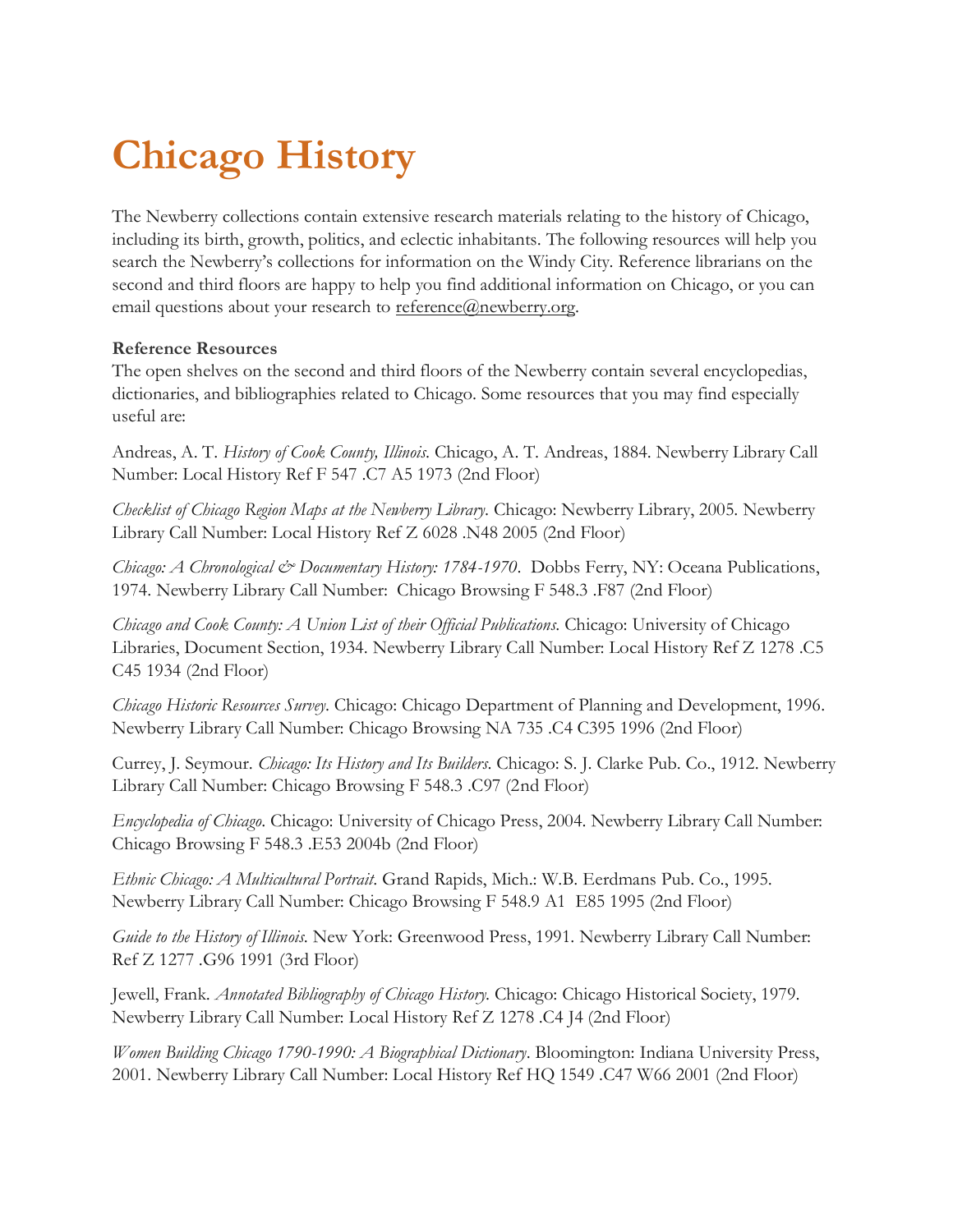# **Chicago History**

The Newberry collections contain extensive research materials relating to the history of Chicago, including its birth, growth, politics, and eclectic inhabitants. The following resources will help you search the Newberry's collections for information on the Windy City. Reference librarians on the second and third floors are happy to help you find additional information on Chicago, or you can email questions about your research to [reference@newberry.org.](mailto:reference@newberry.org)

## **Reference Resources**

The open shelves on the second and third floors of the Newberry contain several encyclopedias, dictionaries, and bibliographies related to Chicago. Some resources that you may find especially useful are:

Andreas, A. T. *History of Cook County, Illinois*. Chicago, A. T. Andreas, 1884. Newberry Library Call Number: Local History Ref F 547 .C7 A5 1973 (2nd Floor)

*Checklist of Chicago Region Maps at the Newberry Library*. Chicago: Newberry Library, 2005. Newberry Library Call Number: Local History Ref Z 6028 .N48 2005 (2nd Floor)

*Chicago: A Chronological & Documentary History: 1784-1970*. Dobbs Ferry, NY: Oceana Publications, 1974. Newberry Library Call Number: Chicago Browsing F 548.3 .F87 (2nd Floor)

*Chicago and Cook County: A Union List of their Official Publications*. Chicago: University of Chicago Libraries, Document Section, 1934. Newberry Library Call Number: Local History Ref Z 1278 .C5 C45 1934 (2nd Floor)

*Chicago Historic Resources Survey*. Chicago: Chicago Department of Planning and Development, 1996. Newberry Library Call Number: Chicago Browsing NA 735 .C4 C395 1996 (2nd Floor)

Currey, J. Seymour. *Chicago: Its History and Its Builders*. Chicago: S. J. Clarke Pub. Co., 1912. Newberry Library Call Number: Chicago Browsing F 548.3 .C97 (2nd Floor)

*Encyclopedia of Chicago*. Chicago: University of Chicago Press, 2004. Newberry Library Call Number: Chicago Browsing F 548.3 .E53 2004b (2nd Floor)

*Ethnic Chicago: A Multicultural Portrait*. Grand Rapids, Mich.: W.B. Eerdmans Pub. Co., 1995. Newberry Library Call Number: Chicago Browsing F 548.9 A1 E85 1995 (2nd Floor)

*Guide to the History of Illinois*. New York: Greenwood Press, 1991. Newberry Library Call Number: Ref Z 1277 .G96 1991 (3rd Floor)

Jewell, Frank. *Annotated Bibliography of Chicago History*. Chicago: Chicago Historical Society, 1979. Newberry Library Call Number: Local History Ref Z 1278 .C4 J4 (2nd Floor)

*Women Building Chicago 1790-1990: A Biographical Dictionary*. Bloomington: Indiana University Press, 2001. Newberry Library Call Number: Local History Ref HQ 1549 .C47 W66 2001 (2nd Floor)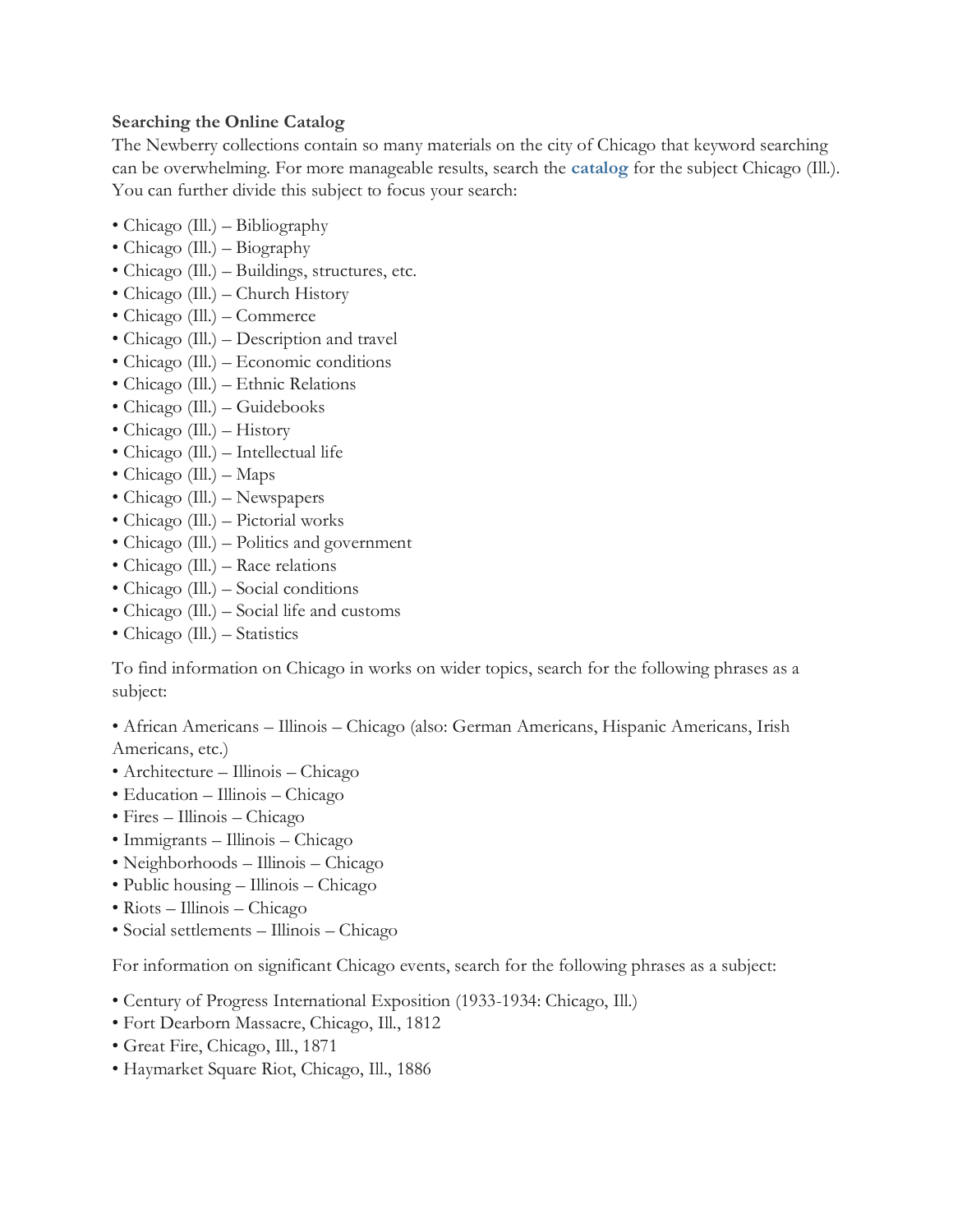## **Searching the Online Catalog**

The Newberry collections contain so many materials on the city of Chicago that keyword searching can be overwhelming. For more manageable results, search the **[catalog](https://www.newberry.org/online-catalog-redirect)** for the subject Chicago (Ill.). You can further divide this subject to focus your search:

- Chicago (Ill.) Bibliography
- Chicago (Ill.) Biography
- Chicago (Ill.) Buildings, structures, etc.
- Chicago (Ill.) Church History
- Chicago (Ill.) Commerce
- Chicago (Ill.) Description and travel
- Chicago (Ill.) Economic conditions
- Chicago (Ill.) Ethnic Relations
- Chicago (Ill.) Guidebooks
- Chicago (Ill.) History
- Chicago (Ill.) Intellectual life
- Chicago (Ill.) Maps
- Chicago (Ill.) Newspapers
- Chicago (Ill.) Pictorial works
- Chicago (Ill.) Politics and government
- Chicago (Ill.) Race relations
- Chicago (Ill.) Social conditions
- Chicago (Ill.) Social life and customs
- Chicago (Ill.) Statistics

To find information on Chicago in works on wider topics, search for the following phrases as a subject:

• African Americans – Illinois – Chicago (also: German Americans, Hispanic Americans, Irish Americans, etc.)

- Architecture Illinois Chicago
- Education Illinois Chicago
- Fires Illinois Chicago
- Immigrants Illinois Chicago
- Neighborhoods Illinois Chicago
- Public housing Illinois Chicago
- Riots Illinois Chicago
- Social settlements Illinois Chicago

For information on significant Chicago events, search for the following phrases as a subject:

- Century of Progress International Exposition (1933-1934: Chicago, Ill.)
- Fort Dearborn Massacre, Chicago, Ill., 1812
- Great Fire, Chicago, Ill., 1871
- Haymarket Square Riot, Chicago, Ill., 1886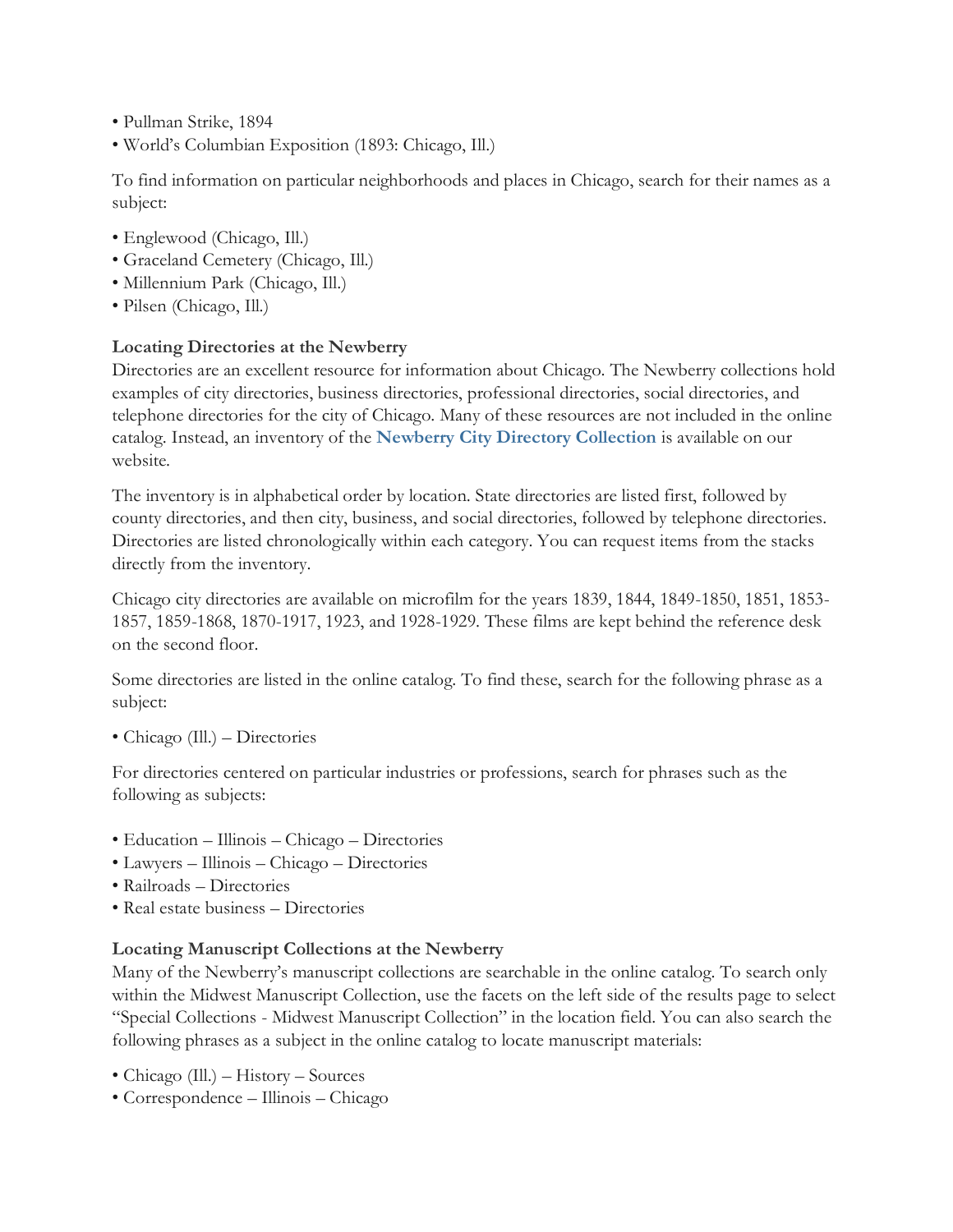- Pullman Strike, 1894
- World's Columbian Exposition (1893: Chicago, Ill.)

To find information on particular neighborhoods and places in Chicago, search for their names as a subject:

- Englewood (Chicago, Ill.)
- Graceland Cemetery (Chicago, Ill.)
- Millennium Park (Chicago, Ill.)
- Pilsen (Chicago, Ill.)

# **Locating Directories at the Newberry**

Directories are an excellent resource for information about Chicago. The Newberry collections hold examples of city directories, business directories, professional directories, social directories, and telephone directories for the city of Chicago. Many of these resources are not included in the online catalog. Instead, an inventory of the **[Newberry City Directory Collection](https://mms.newberry.org/xml/xml_files/CityDirectory.xml)** is available on our website.

The inventory is in alphabetical order by location. State directories are listed first, followed by county directories, and then city, business, and social directories, followed by telephone directories. Directories are listed chronologically within each category. You can request items from the stacks directly from the inventory.

Chicago city directories are available on microfilm for the years 1839, 1844, 1849-1850, 1851, 1853- 1857, 1859-1868, 1870-1917, 1923, and 1928-1929. These films are kept behind the reference desk on the second floor.

Some directories are listed in the online catalog. To find these, search for the following phrase as a subject:

• Chicago (Ill.) – Directories

For directories centered on particular industries or professions, search for phrases such as the following as subjects:

- Education Illinois Chicago Directories
- Lawyers Illinois Chicago Directories
- Railroads Directories
- Real estate business Directories

# **Locating Manuscript Collections at the Newberry**

Many of the Newberry's manuscript collections are searchable in the online catalog. To search only within the Midwest Manuscript Collection, use the facets on the left side of the results page to select "Special Collections - Midwest Manuscript Collection" in the location field. You can also search the following phrases as a subject in the online catalog to locate manuscript materials:

- Chicago (Ill.) History Sources
- Correspondence Illinois Chicago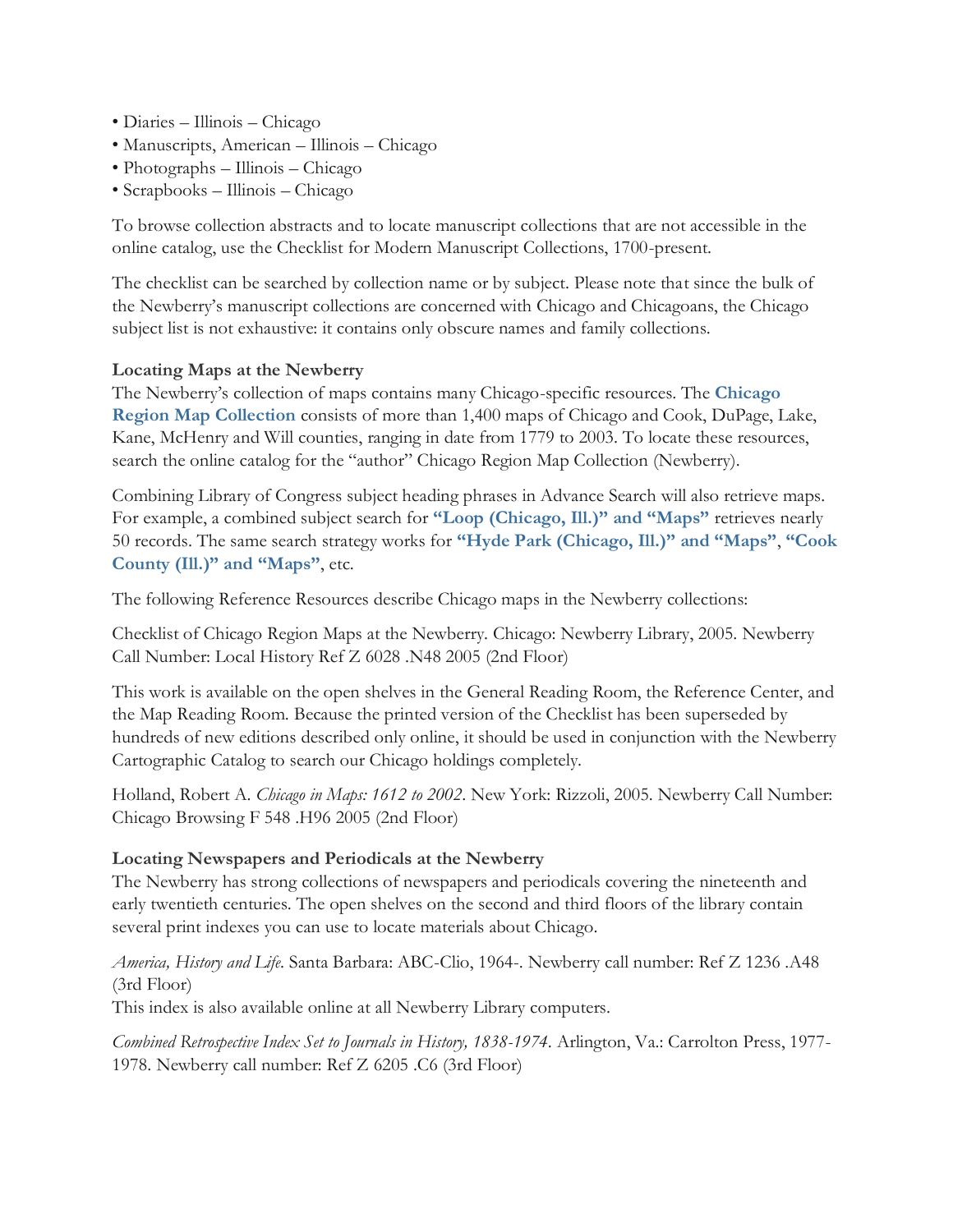- Diaries Illinois Chicago
- Manuscripts, American Illinois Chicago
- Photographs Illinois Chicago
- Scrapbooks Illinois Chicago

To browse collection abstracts and to locate manuscript collections that are not accessible in the online catalog, use the Checklist for Modern Manuscript Collections, 1700-present.

The checklist can be searched by collection name or by subject. Please note that since the bulk of the Newberry's manuscript collections are concerned with Chicago and Chicagoans, the Chicago subject list is not exhaustive: it contains only obscure names and family collections.

#### **Locating Maps at the Newberry**

The Newberry's collection of maps contains many Chicago-specific resources. The **[Chicago](https://i-share-nby.primo.exlibrisgroup.com/discovery/search?query=creator,exact,Chicago%20Region%20Map%20Collection,AND&tab=LibraryCatalog&search_scope=MyInstitution&sortby=rank&vid=01CARLI_NBY:CARLI_NBY&lang=en&mode=advanced&offset=0)  [Region Map Collection](https://i-share-nby.primo.exlibrisgroup.com/discovery/search?query=creator,exact,Chicago%20Region%20Map%20Collection,AND&tab=LibraryCatalog&search_scope=MyInstitution&sortby=rank&vid=01CARLI_NBY:CARLI_NBY&lang=en&mode=advanced&offset=0)** consists of more than 1,400 maps of Chicago and Cook, DuPage, Lake, Kane, McHenry and Will counties, ranging in date from 1779 to 2003. To locate these resources, search the online catalog for the "author" Chicago Region Map Collection (Newberry).

Combining Library of Congress subject heading phrases in Advance Search will also retrieve maps. For example, a combined subject search for **["Loop \(Chicago, Ill.\)" and "Maps"](https://i-share-nby.primo.exlibrisgroup.com/discovery/search?query=sub,contains,Loop%20(Chicago,%20Ill.),AND&query=sub,contains,Maps,AND&tab=LibraryCatalog&search_scope=MyInstitution&vid=01CARLI_NBY:CARLI_NBY&lang=en&mode=advanced&offset=0)** retrieves nearly 50 records. The same search strategy works for **["Hyde Park \(Chicago, Ill.\)" and "Maps"](https://i-share-nby.primo.exlibrisgroup.com/discovery/search?query=sub,contains,Hyde%20Park%20(Chicago,%20Ill.),AND&query=sub,contains,Maps,AND&tab=LibraryCatalog&search_scope=MyInstitution&vid=01CARLI_NBY:CARLI_NBY&lang=en&mode=advanced&offset=0)**, **["Cook](https://i-share-nby.primo.exlibrisgroup.com/discovery/search?query=sub,contains,Cook%20County%20(Ill.),AND&query=sub,contains,Maps,AND&tab=LibraryCatalog&search_scope=MyInstitution&vid=01CARLI_NBY:CARLI_NBY&lang=en&mode=advanced&offset=0)  [County \(Ill.\)" and "Maps"](https://i-share-nby.primo.exlibrisgroup.com/discovery/search?query=sub,contains,Cook%20County%20(Ill.),AND&query=sub,contains,Maps,AND&tab=LibraryCatalog&search_scope=MyInstitution&vid=01CARLI_NBY:CARLI_NBY&lang=en&mode=advanced&offset=0)**, etc.

The following Reference Resources describe Chicago maps in the Newberry collections:

Checklist of Chicago Region Maps at the Newberry. Chicago: Newberry Library, 2005. Newberry Call Number: Local History Ref Z 6028 .N48 2005 (2nd Floor)

This work is available on the open shelves in the General Reading Room, the Reference Center, and the Map Reading Room. Because the printed version of the Checklist has been superseded by hundreds of new editions described only online, it should be used in conjunction with the Newberry Cartographic Catalog to search our Chicago holdings completely.

Holland, Robert A. *Chicago in Maps: 1612 to 2002*. New York: Rizzoli, 2005. Newberry Call Number: Chicago Browsing F 548 .H96 2005 (2nd Floor)

#### **Locating Newspapers and Periodicals at the Newberry**

The Newberry has strong collections of newspapers and periodicals covering the nineteenth and early twentieth centuries. The open shelves on the second and third floors of the library contain several print indexes you can use to locate materials about Chicago.

*America, History and Life*. Santa Barbara: ABC-Clio, 1964-. Newberry call number: Ref Z 1236 .A48 (3rd Floor)

This index is also available online at all Newberry Library computers.

*Combined Retrospective Index Set to Journals in History, 1838-1974*. Arlington, Va.: Carrolton Press, 1977- 1978. Newberry call number: Ref Z 6205 .C6 (3rd Floor)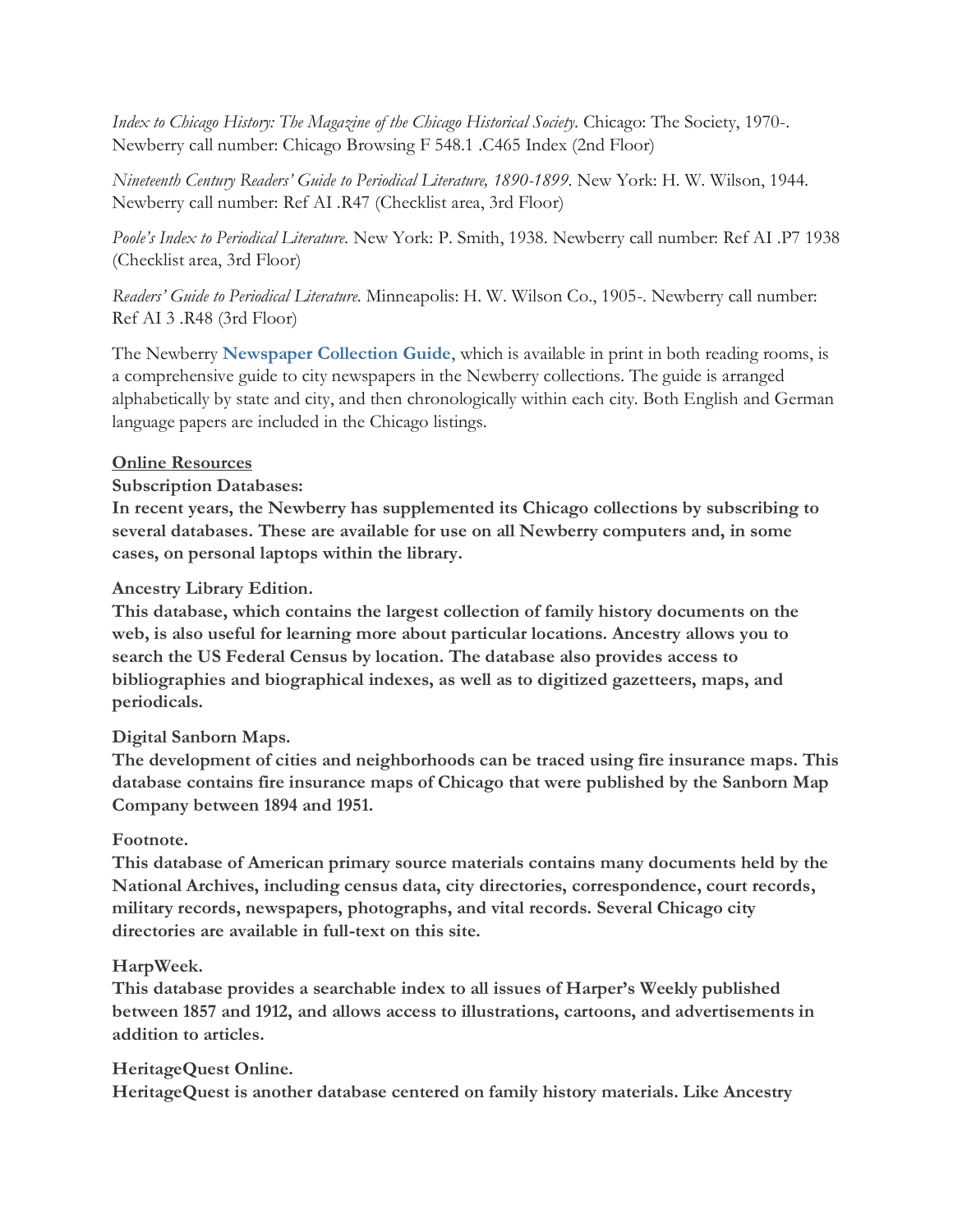*Index to Chicago History: The Magazine of the Chicago Historical Society*. Chicago: The Society, 1970-. Newberry call number: Chicago Browsing F 548.1 .C465 Index (2nd Floor)

*Nineteenth Century Readers' Guide to Periodical Literature, 1890-1899*. New York: H. W. Wilson, 1944. Newberry call number: Ref AI .R47 (Checklist area, 3rd Floor)

*Poole's Index to Periodical Literature*. New York: P. Smith, 1938. Newberry call number: Ref AI .P7 1938 (Checklist area, 3rd Floor)

*Readers' Guide to Periodical Literature*. Minneapolis: H. W. Wilson Co., 1905-. Newberry call number: Ref AI 3 .R48 (3rd Floor)

The Newberry **[Newspaper Collection Guide](https://www.newberry.org/sites/default/files/textpage-attachments/Newspapers.pdf)**, which is available in print in both reading rooms, is a comprehensive guide to city newspapers in the Newberry collections. The guide is arranged alphabetically by state and city, and then chronologically within each city. Both English and German language papers are included in the Chicago listings.

# **Online Resources**

# **Subscription Databases:**

**In recent years, the Newberry has supplemented its Chicago collections by subscribing to several databases. These are available for use on all Newberry computers and, in some cases, on personal laptops within the library.**

# **Ancestry Library Edition.**

**This database, which contains the largest collection of family history documents on the web, is also useful for learning more about particular locations. Ancestry allows you to search the US Federal Census by location. The database also provides access to bibliographies and biographical indexes, as well as to digitized gazetteers, maps, and periodicals.**

# **Digital Sanborn Maps.**

**The development of cities and neighborhoods can be traced using fire insurance maps. This database contains fire insurance maps of Chicago that were published by the Sanborn Map Company between 1894 and 1951.**

# **Footnote.**

**This database of American primary source materials contains many documents held by the National Archives, including census data, city directories, correspondence, court records, military records, newspapers, photographs, and vital records. Several Chicago city directories are available in full-text on this site.**

# **HarpWeek.**

**This database provides a searchable index to all issues of Harper's Weekly published between 1857 and 1912, and allows access to illustrations, cartoons, and advertisements in addition to articles.**

# **HeritageQuest Online.**

**HeritageQuest is another database centered on family history materials. Like Ancestry**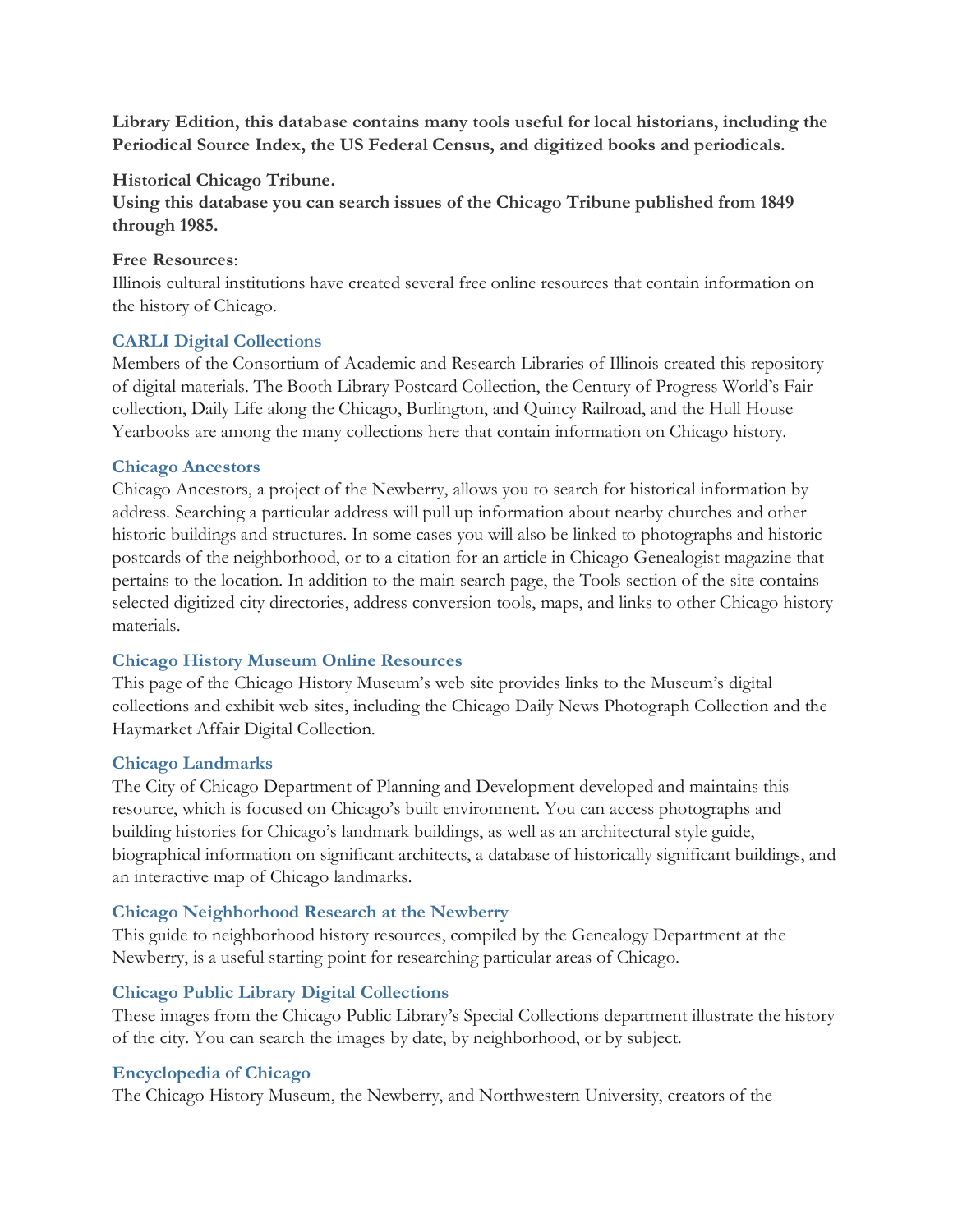**Library Edition, this database contains many tools useful for local historians, including the Periodical Source Index, the US Federal Census, and digitized books and periodicals.**

#### **Historical Chicago Tribune.**

**Using this database you can search issues of the Chicago Tribune published from 1849 through 1985.**

#### **Free Resources**:

Illinois cultural institutions have created several free online resources that contain information on the history of Chicago.

#### **[CARLI Digital Collections](http://collections.carli.illinois.edu/index.php)**

Members of the Consortium of Academic and Research Libraries of Illinois created this repository of digital materials. The Booth Library Postcard Collection, the Century of Progress World's Fair collection, Daily Life along the Chicago, Burlington, and Quincy Railroad, and the Hull House Yearbooks are among the many collections here that contain information on Chicago history.

#### **[Chicago Ancestors](http://www.chicagoancestors.org/)**

Chicago Ancestors, a project of the Newberry, allows you to search for historical information by address. Searching a particular address will pull up information about nearby churches and other historic buildings and structures. In some cases you will also be linked to photographs and historic postcards of the neighborhood, or to a citation for an article in Chicago Genealogist magazine that pertains to the location. In addition to the main search page, the Tools section of the site contains selected digitized city directories, address conversion tools, maps, and links to other Chicago history materials.

#### **[Chicago History Museum Online Resources](http://www.chicagohistory.org/research/resources/online-resources/online)**

This page of the Chicago History Museum's web site provides links to the Museum's digital collections and exhibit web sites, including the Chicago Daily News Photograph Collection and the Haymarket Affair Digital Collection.

#### **[Chicago Landmarks](http://webapps.cityofchicago.org/landmarksweb/web/home.htm;jsessionid=1Gu651SVwQumxZ1LGNETJg**.node2)**

The City of Chicago Department of Planning and Development developed and maintains this resource, which is focused on Chicago's built environment. You can access photographs and building histories for Chicago's landmark buildings, as well as an architectural style guide, biographical information on significant architects, a database of historically significant buildings, and an interactive map of Chicago landmarks.

#### **[Chicago Neighborhood Research at the Newberry](https://www.newberry.org/chicago-neighborhood-guide)**

This guide to neighborhood history resources, compiled by the Genealogy Department at the Newberry, is a useful starting point for researching particular areas of Chicago.

# **[Chicago Public Library Digital Collections](http://www.chipublib.org/images/index.php)**

These images from the Chicago Public Library's Special Collections department illustrate the history of the city. You can search the images by date, by neighborhood, or by subject.

#### **[Encyclopedia of Chicago](http://www.encyclopedia.chicagohistory.org/)**

The Chicago History Museum, the Newberry, and Northwestern University, creators of the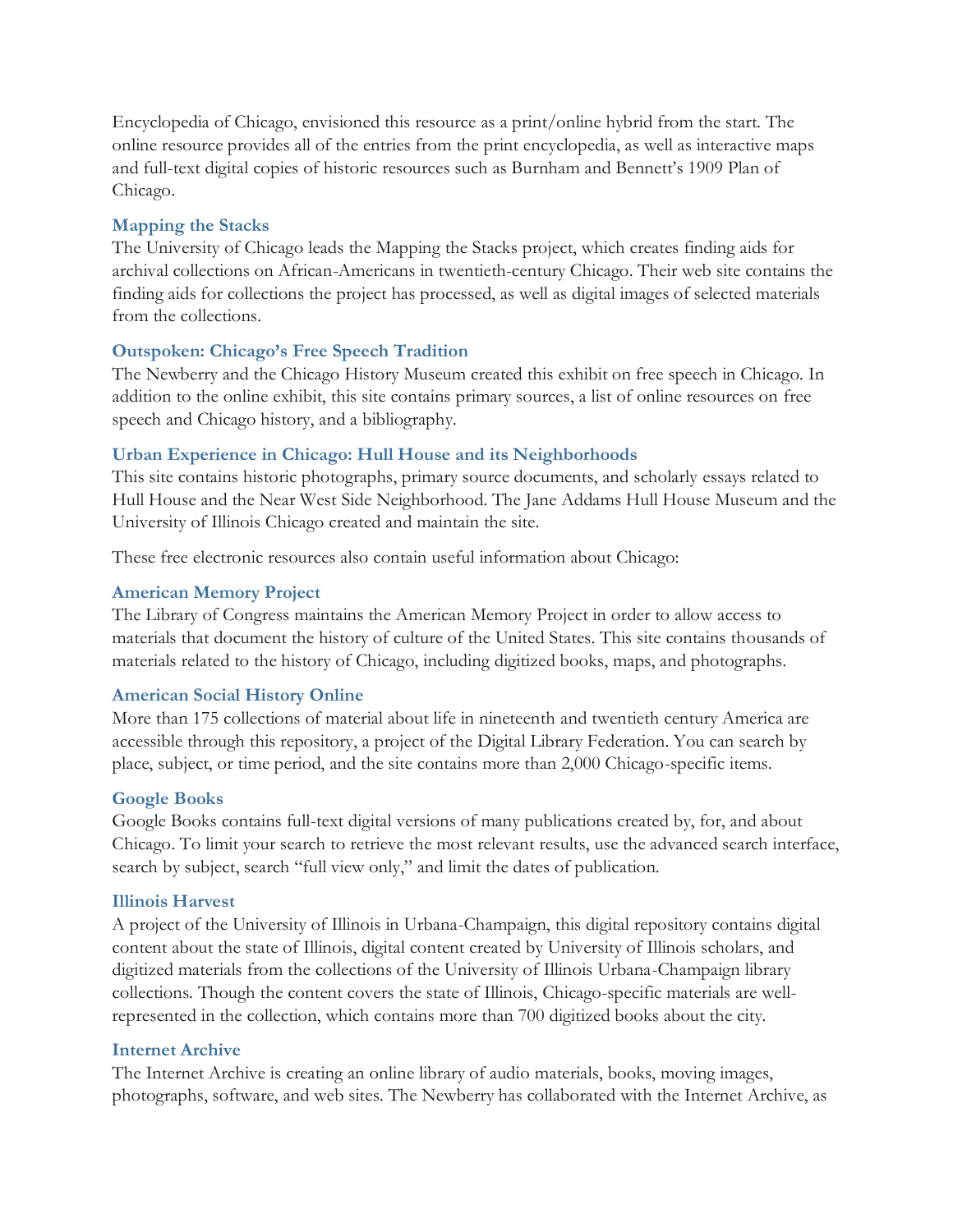Encyclopedia of Chicago, envisioned this resource as a print/online hybrid from the start. The online resource provides all of the entries from the print encyclopedia, as well as interactive maps and full-text digital copies of historic resources such as Burnham and Bennett's 1909 Plan of Chicago.

## **[Mapping the Stacks](http://mts.lib.uchicago.edu/)**

The University of Chicago leads the Mapping the Stacks project, which creates finding aids for archival collections on African-Americans in twentieth-century Chicago. Their web site contains the finding aids for collections the project has processed, as well as digital images of selected materials from the collections.

## **[Outspoken: Chicago's Free Speech Tradition](https://www.newberry.org/10012004-outspoken-chicago-s-free-speech-tradition)**

The Newberry and the Chicago History Museum created this exhibit on free speech in Chicago. In addition to the online exhibit, this site contains primary sources, a list of online resources on free speech and Chicago history, and a bibliography.

## **[Urban Experience in Chicago: Hull House and its Neighborhoods](http://www.uic.edu/jaddams/hull/urbanexp/)**

This site contains historic photographs, primary source documents, and scholarly essays related to Hull House and the Near West Side Neighborhood. The Jane Addams Hull House Museum and the University of Illinois Chicago created and maintain the site.

These free electronic resources also contain useful information about Chicago:

#### **[American Memory Project](http://memory.loc.gov/ammem/index.html)**

The Library of Congress maintains the American Memory Project in order to allow access to materials that document the history of culture of the United States. This site contains thousands of materials related to the history of Chicago, including digitized books, maps, and photographs.

#### **[American Social History Online](http://www.americanhistoryonline.org/)**

More than 175 collections of material about life in nineteenth and twentieth century America are accessible through this repository, a project of the Digital Library Federation. You can search by place, subject, or time period, and the site contains more than 2,000 Chicago-specific items.

#### **[Google Books](http://books.google.com/advanced_book_search)**

Google Books contains full-text digital versions of many publications created by, for, and about Chicago. To limit your search to retrieve the most relevant results, use the advanced search interface, search by subject, search "full view only," and limit the dates of publication.

#### **[Illinois Harvest](http://illinoisharvest.grainger.uiuc.edu/)**

A project of the University of Illinois in Urbana-Champaign, this digital repository contains digital content about the state of Illinois, digital content created by University of Illinois scholars, and digitized materials from the collections of the University of Illinois Urbana-Champaign library collections. Though the content covers the state of Illinois, Chicago-specific materials are wellrepresented in the collection, which contains more than 700 digitized books about the city.

#### **[Internet Archive](http://www.archive.org/index.php)**

The Internet Archive is creating an online library of audio materials, books, moving images, photographs, software, and web sites. The Newberry has collaborated with the Internet Archive, as